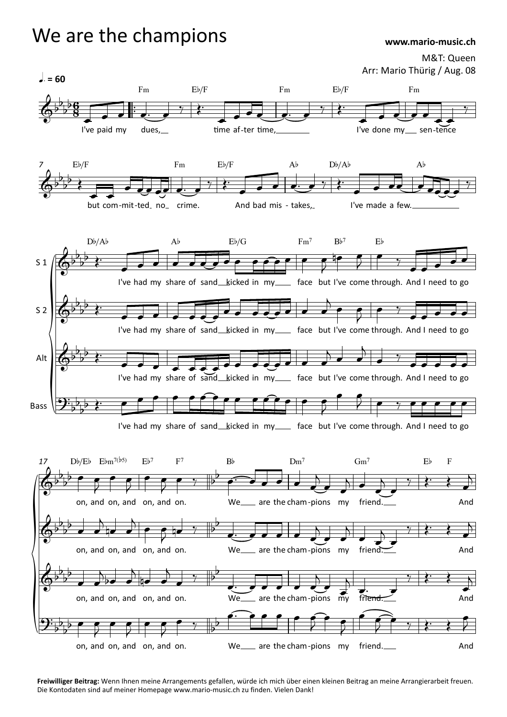## $\overline{\mathbf{P}}$  $\overline{\mathbf{P}}$  $l = 60$ M&T: Queen Arr: Mario Thürig / Aug. 08 ™ ™ *7* S 1 S 2 Alt Bass *17*  $6^{b}6$  $\frac{p}{p}$   $\frac{p}{q}$  $\frac{1}{2}$  b 6  $\frac{6}{2}$  $\frac{1}{8}$ Fm Eb/.<br>
I've paid my dues,  $Fm$  Eb/F  $\begin{array}{c}\n\text{Fm} \\
\hline\n\text{time af-ter time,}\n\end{array}$  $Fm$  Eb/F  $I'$  ive done my sen-tence F<sub>m</sub> sen-tence  $\phi$  $b_1 b$  $\overrightarrow{p}$  $\overrightarrow{p}$ Eb/F F  $F_m$   $\overline{f}$   $\overline{f}$   $\overline{f}$   $\overline{f}$   $\overline{f}$   $\overline{f}$   $\overline{f}$   $\overline{f}$   $\overline{f}$   $\overline{f}$   $\overline{f}$   $\overline{f}$   $\overline{f}$   $\overline{f}$   $\overline{f}$   $\overline{f}$   $\overline{f}$   $\overline{f}$   $\overline{f}$   $\overline{f}$   $\overline{f}$   $\overline{f}$   $\overline{f}$   $\overline{f}$  $Eb/F$ Ab  $Db/Ab$ <br>And bad mis - takes,  $\begin{bmatrix} 1 \end{bmatrix}$  $Ab$ And bad mis - takes,  $Db/Ab$  $\overrightarrow{AB}$ <br>I've made a few. A<sub>b</sub>  $\phi$  $b_1 b_2$ .  $\frac{1}{2}$  $\overline{\mathcal{P}$ .  $Db/Ab$ Ab Eb/G<br>I've had my share of sand kicked in my  $Ab$  $Eb/G$  $Fm^7$  B<br>  $\bullet$   $\bullet$   $\bullet$  B<br>
in my face but I'v  $Fm<sup>7</sup>$  $Bb^7$   $Eb$ <br>but I've come through. And I m  $Bb<sup>7</sup>$ E<sub>b</sub> And I need to go  $\phi$  $\flat$  b  $\overline{\flat}$ .  $\frac{1}{2}$  $\overrightarrow{p}$ . I've had my share of sand\_kicked in my\_\_\_ face but I've come through. And I need to go  $\phi$  $\flat$  b  $\overline{\flat}$ .  $\frac{1}{2}$  $\overrightarrow{p}$ . I've had my share of sand kicked in my face but I've come through. And I need to go  $2\frac{1}{2}$  ) is  $P_1 \flat \rightarrow$  $\frac{1}{2}$  $\overrightarrow{p}$ I've had my share of sand kicked in my face but I've come through. And I need to go  $\phi$  $\flat$   $\bullet$  $\frac{b}{2}$  $\frac{\partial}{\partial \theta}$ on,  $Db/Eb$   $Ebm^{7(b5)}$  $E/m^{7(b5)}$   $Eb^7$   $F^7$ <br>and on, and on, and on.  $Eb^7$  $F^7$  Bb<br>and on. We<br>and on.  $F<sup>7</sup>$  $\overrightarrow{p}$  $\overline{\phantom{a}}$  $We$ <sub>\_\_\_\_\_</sub> are B<sub>b</sub>  $\begin{array}{c}\n\text{Dm}^7 \\
\hline\n\text{are the cham-pions} \\
\text{my}\n\end{array}$  $Dm^7$  $\overrightarrow{Gm}$ <br>-pions my friend. ome through. And I need to go<br>  $\text{Gm}^7$  Eb F And  $\phi$  $\flat$  b  $b \rightarrow$  $\overline{\phantom{0}}$  $\overrightarrow{p}$  on, and on, and on, and on.  $b^{\prime}$  $\overline{\phantom{0}}$ We are the cham-pions my friend. And  $\phi$ <sup>b<sub>b</sup></sub></sup>  $\flat$  b  $\frac{p}{p}$  $\overline{\phantom{0}}$ on, and on, and on, and on.  $b^{\prime}$  $\overline{\phantom{0}}$ We are the cham-pions my friend.  $9\frac{1}{2}$  $P_1$ <sub>b</sub>  $\bullet$  $\frac{b}{2}$  $\overline{\phantom{a}}$ on, and on, and on, and on.  $b^{\prime}$  $\frac{\partial}{\partial}$ We are the cham-pions my friend. And œ œ œ œ™ œ ‰ Œ™ <sup>œ</sup> œ œ œ œ™ œ WWW.mario-m<br>M&T:<br>Arr: Mario Thürig / /<br>Eb/F<br>Fm<br>I've done my\_sen-ten  $\bullet$   $\bullet$   $\bullet$   $\bullet$  $\bullet$   $\bullet$   $\overline{\bullet}$   $\overline{\bullet}$   $\overline{\bullet}$   $\overline{\bullet}$   $\overline{\bullet}$   $\overline{\bullet}$   $\overline{\bullet}$   $\overline{\bullet}$   $\overline{\bullet}$   $\overline{\bullet}$   $\overline{\bullet}$   $\overline{\bullet}$   $\overline{\bullet}$   $\overline{\bullet}$   $\overline{\bullet}$   $\overline{\bullet}$   $\overline{\bullet}$   $\overline{\bullet}$   $\overline{\bullet}$   $\overline{\bullet}$   $\overline{\bullet}$   $\overline{\bullet}$   $\overline{\bullet}$   $\overline$  $\gamma$  $\frac{1}{2}$  $\overline{a}$ œ œ œ œœ œ™ œ time af-ter time,<br> $Eb/F$  Ab I<br> $\overrightarrow{B}$  Ab I<br>And bad mis - takes, time, I've done my sen-ter<br>Ab Db/Ab Ab<br>ad mis - takes, I've made a few.  $\frac{1}{\sqrt{2\pi}}$  $\frac{1}{\sqrt{2}}$ <sup>Œ</sup>™ <sup>œ</sup>  $\overline{e}$   $\overline{e}$   $\overline{e}$   $\overline{e}$   $\overline{e}$   $\overline{e}$   $\overline{e}$   $\overline{e}$   $\overline{e}$   $\overline{e}$   $\overline{e}$   $\overline{e}$   $\overline{e}$   $\overline{e}$   $\overline{e}$   $\overline{e}$   $\overline{e}$   $\overline{e}$   $\overline{e}$   $\overline{e}$   $\overline{e}$   $\overline{e}$   $\overline{e}$   $\overline{e}$   $\overline{$  $\mathcal{G} \subset \mathcal{G} \subset \mathcal{G}$  $\sum$  $\overline{a}$  $\frac{1}{2}$ <u>००० ००</u>  $\overrightarrow{e}$  $\frac{1}{\alpha}$ <sup>Œ</sup>™ <sup>œ</sup> <sup>œ</sup> <sup>œ</sup> <sup>œ</sup> <sup>œ</sup> <sup>œ</sup> <sup>œ</sup> œ œ œ œ œ œ œ œ  $\rightarrow$  e e  $\rightarrow$   $\rightarrow$ FOR WEIGHT WAS A THE CHANGE OF CONTROLLER CHANGE OF CONTROLLER CHANGE OF CONTROLLER CHANGE OF CONTROLLER CHANGE OF CONTROLLER CHANGE OF CONTROLLER CHANGE OF CONTROLLER CHANGE OF CONTROLLER CHANGE OF CONTROLLER CHANGE OF CO œ œ  $\overrightarrow{e}$  $\overline{C}$   $\overline{C}$   $\overline{C}$   $\overline{C}$   $\overline{C}$   $\overline{C}$   $\overline{C}$   $\overline{C}$   $\overline{C}$   $\overline{C}$   $\overline{C}$   $\overline{C}$   $\overline{C}$   $\overline{C}$   $\overline{C}$   $\overline{C}$   $\overline{C}$   $\overline{C}$   $\overline{C}$   $\overline{C}$   $\overline{C}$   $\overline{C}$   $\overline{C}$   $\overline{C}$   $\overline{$ ē, en engleda direktiva direktiva direktiva direktiva direktiva direktiva direktiva direktiva direktiva direkti<br>Direktiva direktiva direktiva direktiva direktiva direktiva direktiva direktiva direktiva direktiva direktiva  $\begin{array}{c} \begin{array}{c} \end{array} \end{array}$  $\overline{\phantom{0}}$  $\frac{1}{\sqrt{2}}$  $\gamma$ œ œ œ œ œ  $\ddot{\epsilon}$  e  $\ddot{\epsilon}$ œ œ œ œ œ œ œ œ œ œ œ œ œ œ  $\overline{y}$ œ œ J œ ‰ œ œ œ œ œ  $\bullet$  e e  $7$   $\rightarrow$  $\bullet$  e e e  $\overline{\phantom{a}}$  $\bullet$  e  $\bullet$   $\bullet$  $\frac{1}{2}$  $e \cdot \mathbb{P}$   $e \cdot \mathbb{E}$   $e \cdot \mathbb{E}$  $\overline{\phantom{0}}$  $\bullet$  $\rightarrow$ ्<del>त</del><br>द  $\overline{)}$  $e$   $e$ And I need to go<br>Eb F<br> $\overrightarrow{E}$  And  $\sum$  $\bullet$   $\bullet$   $\bullet$  $\frac{1}{4}$  e e  $j$  e e te  $j$  $\mathcal{G}$   $\mathfrak{p}$   $\rightarrow$   $\mathfrak{p}$   $\mathfrak{p}$   $\rightarrow$   $\mathfrak{p}$   $\rightarrow$   $\mathfrak{p}$  $\overline{)}$  $\rightarrow$  $\sqrt{ }$ œ œ  $\overline{\phantom{0}}$  $\bullet$  $\begin{array}{ccc}\n\bullet & \bullet & \bullet \\
\bullet & \bullet & \bullet \\
\bullet & \bullet & \bullet\n\end{array}$ <br>
And<br>  $\begin{array}{ccc}\n\bullet & \bullet & \bullet \\
\bullet & \bullet & \bullet \\
\bullet & \bullet & \bullet\n\end{array}$ <br>
And  $\sum$  $\rightarrow$  be  $\rightarrow$  $\rangle$  be e  $\downarrow$  $\frac{1}{2}$  e  $\frac{1}{2}$   $\frac{1}{2}$  $\overline{)}$  $\frac{1}{2}$  $\frac{1}{2}$   $\frac{1}{2}$ œ™ œ œ œ œ œ  $\overline{\phantom{a}}$ —<br>my friem  $\sqrt{ }$ œ™ œ  $\begin{array}{ccc}\n\frac{1}{2} & \frac{1}{2} & \frac{1}{2} \\
\hline\n\frac{1}{2} & \frac{1}{2} & \frac{1}{2} \\
\frac{1}{2} & \frac{1}{2} & \frac{1}{2} \\
\frac{1}{2} & \frac{1}{2} & \frac{1}{2} \\
\frac{1}{2} & \frac{1}{2} & \frac{1}{2} \\
\frac{1}{2} & \frac{1}{2} & \frac{1}{2} \\
\frac{1}{2} & \frac{1}{2} & \frac{1}{2} \\
\frac{1}{2} & \frac{1}{2} & \frac{1}{2} \\
\frac{1}{2} & \frac{1}{2} &$ œ  $\overline{y}$ œ œ  $7$   $\rightarrow$  $e$  e e e  $7$   $\uparrow$   $\uparrow$  $e$   $e$   $e$   $y$  $\frac{1}{2}$  $\bullet$   $\frac{1}{2}$  $\overbrace{...}$  $\sum_{i=1}^{n}$  $\bullet$  $\overline{2}$   $\overline{1}$  $\bigodot$  $\frac{1}{2}$  $\frac{1}{2}$   $\frac{1}{2}$  $\begin{array}{ccc}\n\frac{1}{2} & \frac{1}{2} & \frac{1}{2} \\
\frac{1}{2} & \frac{1}{2} & \frac{1}{2} \\
\frac{1}{2} & \frac{1}{2} & \frac{1}{2} \\
\frac{1}{2} & \frac{1}{2} & \frac{1}{2} \\
\frac{1}{2} & \frac{1}{2} & \frac{1}{2} \\
\frac{1}{2} & \frac{1}{2} & \frac{1}{2} \\
\frac{1}{2} & \frac{1}{2} & \frac{1}{2} \\
\frac{1}{2} & \frac{1}{2} & \frac{1}{2} \\
\frac{1}{2} & \frac{1}{2} & \frac{1$  $\mathbb{Z}$

We are the champions

**www.mario-music.ch**

**Freiwilliger Beitrag:** Wenn Ihnen meine Arrangements gefallen, würde ich mich über einen kleinen Beitrag an meine Arrangierarbeit freuen. Die Kontodaten sind auf meiner Homepage www.mario-music.ch zu finden. Vielen Dank!